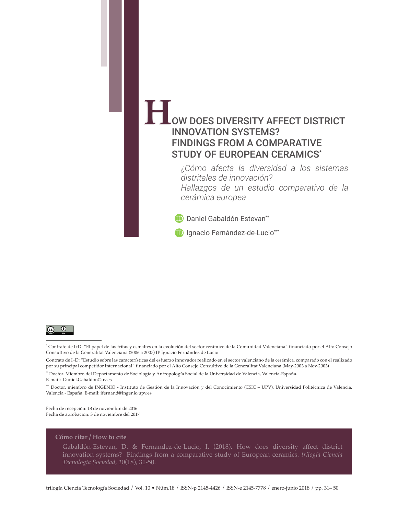# OW DOES DIVERSITY AFFECT DISTRICT **Here** INNOVATION SYSTEMS? FINDINGS FROM A COMPARATIVE STUDY OF EUROPEAN CERAMICS\*

*¿Cómo afecta la diversidad a los sistemas distritales de innovación? Hallazgos de un estudio comparativo de la cerámica europea*

**D** Daniel Gabaldón-Estevan<sup>\*\*</sup>

**[ID](https://orcid.org/0000-0002-7411-4444)** Ignacio Fernández-de-Lucio<sup>\*\*\*</sup>



\* Contrato de I+D: "El papel de las fritas y esmaltes en la evolución del sector cerámico de la Comunidad Valenciana" financiado por el Alto Consejo Consultivo de la Generalitat Valenciana (2006 a 2007) IP Ignacio Fernández de Lucio

Contrato de I+D: "Estudio sobre las características del esfuerzo innovador realizado en el sector valenciano de la cerámica, comparado con el realizado por su principal competidor internacional" financiado por el Alto Consejo Consultivo de la Generalitat Valenciana (May-2003 a Nov-2003)

\*\* Doctor. Miembro del Departamento de Sociología y Antropología Social de la Universidad de Valencia, Valencia-España. E-mail: Daniel.Gabaldon@uv.es

\*\*\* Doctor, miembro de INGENIO - Instituto de Gestión de la Innovación y del Conocimiento (CSIC – UPV). Universidad Politécnica de Valencia, Valencia - España. E-mail: ifernand@ingenio.upv.es

Fecha de recepción: 18 de noviembre de 2016 Fecha de aprobación: 3 de noviembre del 2017

#### **Cómo citar / How to cite**

 Gabaldón-Estevan, D. & Fernandez-de-Lucio, I. (2018). How does diversity affect district innovation systems? Findings from a comparative study of European ceramics. *trilogía Ciencia Tecnología Sociedad, 1*0(18), 31-50.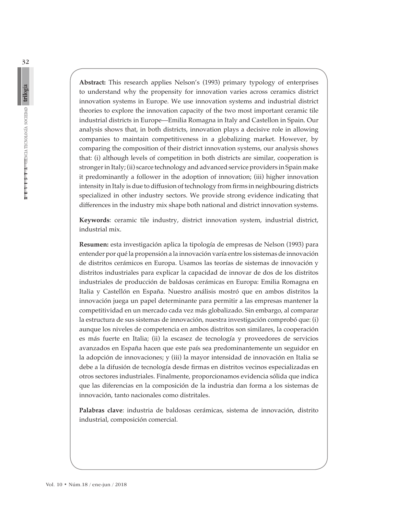**Abstract:** This research applies Nelson's (1993) primary typology of enterprises to understand why the propensity for innovation varies across ceramics district innovation systems in Europe. We use innovation systems and industrial district theories to explore the innovation capacity of the two most important ceramic tile industrial districts in Europe—Emilia Romagna in Italy and Castellon in Spain. Our analysis shows that, in both districts, innovation plays a decisive role in allowing companies to maintain competitiveness in a globalizing market. However, by comparing the composition of their district innovation systems, our analysis shows that: (i) although levels of competition in both districts are similar, cooperation is stronger in Italy; (ii) scarce technology and advanced service providers in Spain make it predominantly a follower in the adoption of innovation; (iii) higher innovation intensity in Italy is due to diffusion of technology from firms in neighbouring districts specialized in other industry sectors. We provide strong evidence indicating that differences in the industry mix shape both national and district innovation systems.

**Keywords**: ceramic tile industry, district innovation system, industrial district, industrial mix.

**Resumen:** esta investigación aplica la tipología de empresas de Nelson (1993) para entender por qué la propensión a la innovación varía entre los sistemas de innovación de distritos cerámicos en Europa. Usamos las teorías de sistemas de innovación y distritos industriales para explicar la capacidad de innovar de dos de los distritos industriales de producción de baldosas cerámicas en Europa: Emilia Romagna en Italia y Castellón en España. Nuestro análisis mostró que en ambos distritos la innovación juega un papel determinante para permitir a las empresas mantener la competitividad en un mercado cada vez más globalizado. Sin embargo, al comparar la estructura de sus sistemas de innovación, nuestra investigación comprobó que: (i) aunque los niveles de competencia en ambos distritos son similares, la cooperación es más fuerte en Italia; (ii) la escasez de tecnología y proveedores de servicios avanzados en España hacen que este país sea predominantemente un seguidor en la adopción de innovaciones; y (iii) la mayor intensidad de innovación en Italia se debe a la difusión de tecnología desde firmas en distritos vecinos especializadas en otros sectores industriales. Finalmente, proporcionamos evidencia sólida que indica que las diferencias en la composición de la industria dan forma a los sistemas de innovación, tanto nacionales como distritales.

**Palabras clave**: industria de baldosas cerámicas, sistema de innovación, distrito industrial, composición comercial.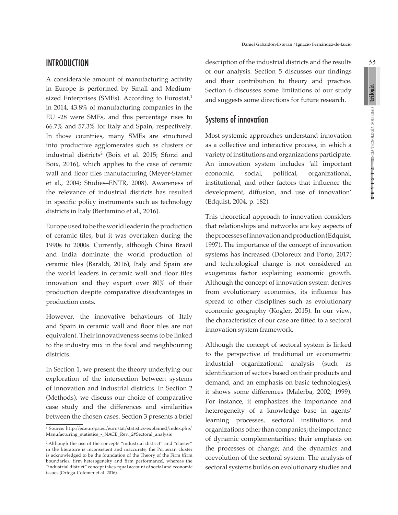A considerable amount of manufacturing activity in Europe is performed by Small and Mediumsized Enterprises (SMEs). According to Eurostat, $1$ in 2014, 43.8% of manufacturing companies in the EU -28 were SMEs, and this percentage rises to 66.7% and 57.3% for Italy and Spain, respectively. In those countries, many SMEs are structured into productive agglomerates such as clusters or industrial districts<sup>2</sup> (Boix et al. 2015; Sforzi and Boix, 2016), which applies to the case of ceramic wall and floor tiles manufacturing (Meyer-Stamer et al., 2004; Studies–ENTR, 2008). Awareness of the relevance of industrial districts has resulted in specific policy instruments such as technology districts in Italy (Bertamino et al., 2016).

Europe used to be the world leader in the production of ceramic tiles, but it was overtaken during the 1990s to 2000s. Currently, although China Brazil and India dominate the world production of ceramic tiles (Baraldi, 2016), Italy and Spain are the world leaders in ceramic wall and floor tiles innovation and they export over 80% of their production despite comparative disadvantages in production costs.

However, the innovative behaviours of Italy and Spain in ceramic wall and floor tiles are not equivalent. Their innovativeness seems to be linked to the industry mix in the focal and neighbouring districts.

In Section 1, we present the theory underlying our exploration of the intersection between systems of innovation and industrial districts. In Section 2 (Methods), we discuss our choice of comparative case study and the differences and similarities between the chosen cases. Section 3 presents a brief description of the industrial districts and the results of our analysis. Section 5 discusses our findings and their contribution to theory and practice. Section 6 discusses some limitations of our study and suggests some directions for future research.

# Systems of innovation

Most systemic approaches understand innovation as a collective and interactive process, in which a variety of institutions and organizations participate. An innovation system includes *'*all important economic, social, political, organizational, institutional, and other factors that influence the development, diffusion, and use of innovation' (Edquist, 2004, p. 182).

This theoretical approach to innovation considers that relationships and networks are key aspects of the processes of innovation and production (Edquist, 1997). The importance of the concept of innovation systems has increased (Doloreux and Porto, 2017) and technological change is not considered an exogenous factor explaining economic growth. Although the concept of innovation system derives from evolutionary economics, its influence has spread to other disciplines such as evolutionary economic geography (Kogler, 2015). In our view, the characteristics of our case are fitted to a sectoral innovation system framework.

Although the concept of sectoral system is linked to the perspective of traditional or econometric industrial organizational analysis (such as identification of sectors based on their products and demand, and an emphasis on basic technologies), it shows some differences (Malerba, 2002; 1999). For instance, it emphasizes the importance and heterogeneity of a knowledge base in agents' learning processes, sectoral institutions and organizations other than companies; the importance of dynamic complementarities; their emphasis on the processes of change; and the dynamics and coevolution of the sectoral system. The analysis of sectoral systems builds on evolutionary studies and

R E V I S T A CHACIA TECNOLOGÍA SOCIEDAD

<sup>1</sup> Source: [http://ec.europa.eu/eurostat/statistics-explained/index.php/](http://ec.europa.eu/eurostat/statistics-explained/index.php/Manufacturing_statistics_-_NACE_Rev._2#Sectoral_analysis) [Manufacturing\\_statistics\\_-\\_NACE\\_Rev.\\_2#Sectoral\\_analysis](http://ec.europa.eu/eurostat/statistics-explained/index.php/Manufacturing_statistics_-_NACE_Rev._2#Sectoral_analysis)

<sup>2</sup> Although the use of the concepts "industrial district" and "cluster" in the literature is inconsistent and inaccurate, the Porterian cluster is acknowledged to be the foundation of the Theory of the Firm (firm boundaries, firm heterogeneity and firm performance), whereas the "industrial district" concept takes equal account of social and economic issues (Ortega-Colomer et al. 2016).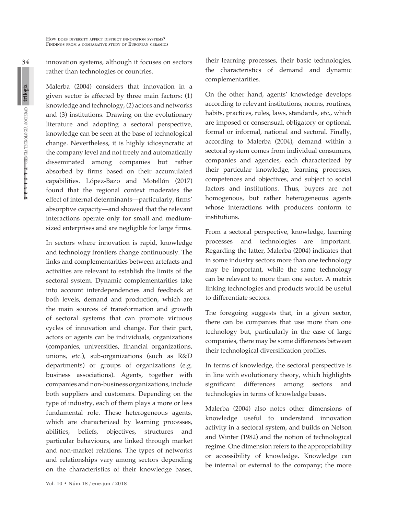34  $x + y + 3$  i  $A$  emnicial tecnología sociedad trilogía innovation systems, although it focuses on sectors rather than technologies or countries.

Malerba (2004) considers that innovation in a given sector is affected by three main factors: (1) knowledge and technology, (2) actors and networks and (3) institutions. Drawing on the evolutionary literature and adopting a sectoral perspective, knowledge can be seen at the base of technological change. Nevertheless, it is highly idiosyncratic at the company level and not freely and automatically disseminated among companies but rather absorbed by firms based on their accumulated capabilities. López-Bazo and Motellón (2017) found that the regional context moderates the effect of internal determinants—particularly, firms' absorptive capacity—and showed that the relevant interactions operate only for small and mediumsized enterprises and are negligible for large firms.

In sectors where innovation is rapid, knowledge and technology frontiers change continuously. The links and complementarities between artefacts and activities are relevant to establish the limits of the sectoral system. Dynamic complementarities take into account interdependencies and feedback at both levels, demand and production, which are the main sources of transformation and growth of sectoral systems that can promote virtuous cycles of innovation and change. For their part, actors or agents can be individuals, organizations (companies, universities, financial organizations, unions, etc.), sub-organizations (such as R&D departments) or groups of organizations (e.g. business associations). Agents, together with companies and non-business organizations, include both suppliers and customers. Depending on the type of industry, each of them plays a more or less fundamental role. These heterogeneous agents, which are characterized by learning processes, abilities, beliefs, objectives, structures and particular behaviours, are linked through market and non-market relations. The types of networks and relationships vary among sectors depending on the characteristics of their knowledge bases,

their learning processes, their basic technologies, the characteristics of demand and dynamic complementarities.

On the other hand, agents' knowledge develops according to relevant institutions, norms, routines, habits, practices, rules, laws, standards, etc., which are imposed or consensual, obligatory or optional, formal or informal, national and sectoral. Finally, according to Malerba (2004), demand within a sectoral system comes from individual consumers, companies and agencies, each characterized by their particular knowledge, learning processes, competences and objectives, and subject to social factors and institutions. Thus, buyers are not homogenous, but rather heterogeneous agents whose interactions with producers conform to institutions.

From a sectoral perspective, knowledge, learning processes and technologies are important. Regarding the latter, Malerba (2004) indicates that in some industry sectors more than one technology may be important, while the same technology can be relevant to more than one sector. A matrix linking technologies and products would be useful to differentiate sectors.

The foregoing suggests that, in a given sector, there can be companies that use more than one technology but, particularly in the case of large companies, there may be some differences between their technological diversification profiles.

In terms of knowledge, the sectoral perspective is in line with evolutionary theory, which highlights significant differences among sectors and technologies in terms of knowledge bases.

Malerba (2004) also notes other dimensions of knowledge useful to understand innovation activity in a sectoral system, and builds on Nelson and Winter (1982) and the notion of technological regime. One dimension refers to the appropriability or accessibility of knowledge. Knowledge can be internal or external to the company; the more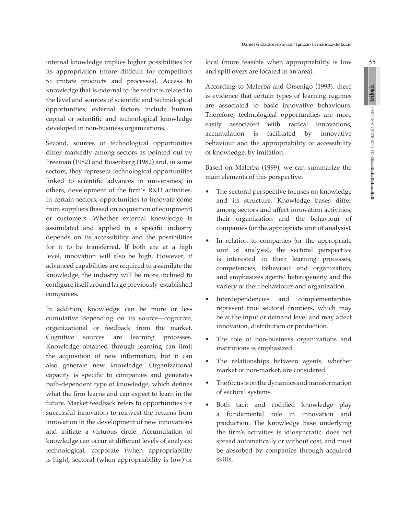35

internal knowledge implies higher possibilities for its appropriation (more difficult for competitors to imitate products and processes). Access to knowledge that is external to the sector is related to the level and sources of scientific and technological opportunities; external factors include human capital or scientific and technological knowledge developed in non-business organizations.

Second, sources of technological opportunities differ markedly among sectors as pointed out by Freeman (1982) and Rosenberg (1982) and, in some sectors, they represent technological opportunities linked to scientific advances in universities; in others, development of the firm's R&D activities. In certain sectors, opportunities to innovate come from suppliers (based on acquisition of equipment) or customers. Whether external knowledge is assimilated and applied in a specific industry depends on its accessibility and the possibilities for it to be transferred. If both are at a high level, innovation will also be high. However, if advanced capabilities are required to assimilate the knowledge, the industry will be more inclined to configure itself around large previously-established companies.

In addition, knowledge can be more or less cumulative depending on its source—cognitive, organizational or feedback from the market. Cognitive sources are learning processes. Knowledge obtained through learning can limit the acquisition of new information, but it can also generate new knowledge. Organizational capacity is specific to companies and generates path-dependent type of knowledge, which defines what the firm learns and can expect to learn in the future. Market feedback refers to opportunities for successful innovators to reinvest the returns from innovation in the development of new innovations and initiate a virtuous circle. Accumulation of knowledge can occur at different levels of analysis: technological, corporate (when appropriability is high), sectoral (when appropriability is low) or local (more feasible when appropriability is low and spill overs are located in an area).

According to Malerba and Orsenigo (1993), there is evidence that certain types of learning regimes are associated to basic innovative behaviours. Therefore, technological opportunities are more easily associated with radical innovations, accumulation is facilitated by innovative behaviour and the appropriability or accessibility of knowledge, by imitation.

Based on Malerba (1999), we can summarize the main elements of this perspective:

- The sectoral perspective focuses on knowledge and its structure. Knowledge bases differ among sectors and affect innovation activities, their organization and the behaviour of companies (or the appropriate unit of analysis).
- In relation to companies (or the appropriate unit of analysis), the sectoral perspective is interested in their learning processes, competencies, behaviour and organization, and emphasizes agents' heterogeneity and the variety of their behaviours and organization.
- Interdependencies and complementarities represent true sectoral frontiers, which may be at the input or demand level and may affect innovation, distribution or production.
- The role of non-business organizations and institutions is emphasized.
- The relationships between agents, whether market or non-market, are considered.
- The focus is on the dynamics and transformation of sectoral systems.
- Both tacit and codified knowledge play a fundamental role in innovation and production. The knowledge base underlying the firm's activities is idiosyncratic, does not spread automatically or without cost, and must be absorbed by companies through acquired skills.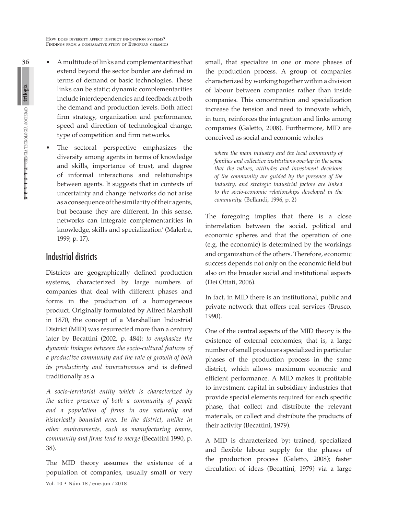- A multitude of links and complementarities that extend beyond the sector border are defined in terms of demand or basic technologies. These links can be static; dynamic complementarities include interdependencies and feedback at both the demand and production levels. Both affect firm strategy, organization and performance, speed and direction of technological change, type of competition and firm networks.
	- The sectoral perspective emphasizes the diversity among agents in terms of knowledge and skills, importance of trust, and degree of informal interactions and relationships between agents. It suggests that in contexts of uncertainty and change *'*networks do not arise as a consequence of the similarity of their agents, but because they are different. In this sense, networks can integrate complementarities in knowledge, skills and specialization*'* (Malerba, 1999, p. 17).

# Industrial districts

Districts are geographically defined production systems, characterized by large numbers of companies that deal with different phases and forms in the production of a homogeneous product. Originally formulated by Alfred Marshall in 1870, the concept of a Marshallian Industrial District (MID) was resurrected more than a century later by Becattini (2002, p. 484): *to emphasize the dynamic linkages between the socio-cultural features of a productive community and the rate of growth of both its productivity and innovativeness* and is defined traditionally as a

*A socio-territorial entity which is characterized by the active presence of both a community of people and a population of firms in one naturally and historically bounded area. In the district, unlike in other environments, such as manufacturing towns, community and firms tend to merge* (Becattini 1990, p. 38)*.*

The MID theory assumes the existence of a population of companies, usually small or very small, that specialize in one or more phases of the production process. A group of companies characterized by working together within a division of labour between companies rather than inside companies. This concentration and specialization increase the tension and need to innovate which, in turn, reinforces the integration and links among companies (Galetto, 2008). Furthermore, MID are conceived as social and economic wholes

*where the main industry and the local community of families and collective institutions overlap in the sense that the values, attitudes and investment decisions of the community are guided by the presence of the industry, and strategic industrial factors are linked to the socio-economic relationships developed in the community.* (Bellandi, 1996, p. 2)

The foregoing implies that there is a close interrelation between the social, political and economic spheres and that the operation of one (e.g. the economic) is determined by the workings and organization of the others. Therefore, economic success depends not only on the economic field but also on the broader social and institutional aspects (Dei Ottati, 2006).

In fact, in MID there is an institutional, public and private network that offers real services (Brusco, 1990).

One of the central aspects of the MID theory is the existence of external economies; that is, a large number of small producers specialized in particular phases of the production process in the same district, which allows maximum economic and efficient performance. A MID makes it profitable to investment capital in subsidiary industries that provide special elements required for each specific phase, that collect and distribute the relevant materials, or collect and distribute the products of their activity (Becattini, 1979).

A MID is characterized by: trained, specialized and flexible labour supply for the phases of the production process (Galetto, 2008); faster circulation of ideas (Becattini, 1979) via a large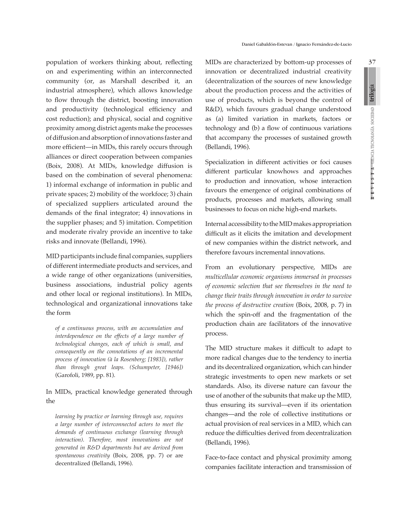population of workers thinking about, reflecting on and experimenting within an interconnected community (or, as Marshall described it, an industrial atmosphere), which allows knowledge to flow through the district, boosting innovation and productivity (technological efficiency and cost reduction); and physical, social and cognitive proximity among district agents make the processes of diffusion and absorption of innovations faster and more efficient—in MIDs, this rarely occurs through alliances or direct cooperation between companies (Boix, 2008). At MIDs, knowledge diffusion is based on the combination of several phenomena: 1) informal exchange of information in public and private spaces; 2) mobility of the workfoce; 3) chain of specialized suppliers articulated around the demands of the final integrator; 4) innovations in the supplier phases; and 5) imitation. Competition and moderate rivalry provide an incentive to take risks and innovate (Bellandi, 1996).

MID participants include final companies, suppliers of different intermediate products and services, and a wide range of other organizations (universities, business associations, industrial policy agents and other local or regional institutions). In MIDs, technological and organizational innovations take the form

*of a continuous process, with an accumulation and interdependence on the effects of a large number of technological changes, each of which is small, and consequently on the connotations of an incremental process of innovation (à la Rosenberg; [1983]), rather than through great leaps. (Schumpeter, [1946])* (Garofoli, 1989, pp. 81).

In MIDs, practical knowledge generated through the

*learning by practice or learning through use, requires a large number of interconnected actors to meet the demands of continuous exchange (learning through interaction). Therefore, most innovations are not generated in R&D departments but are derived from spontaneous creativity* (Boix, 2008, pp. 7) or are decentralized (Bellandi, 1996).

MIDs are characterized by bottom-up processes of innovation or decentralized industrial creativity (decentralization of the sources of new knowledge about the production process and the activities of use of products, which is beyond the control of R&D), which favours gradual change understood as (a) limited variation in markets, factors or technology and (b) a flow of continuous variations that accompany the processes of sustained growth (Bellandi, 1996).

Specialization in different activities or foci causes different particular knowhows and approaches to production and innovation, whose interaction favours the emergence of original combinations of products, processes and markets, allowing small businesses to focus on niche high-end markets.

Internal accessibility to the MID makes appropriation difficult as it elicits the imitation and development of new companies within the district network, and therefore favours incremental innovations.

From an evolutionary perspective, MIDs are *multicellular economic organisms immersed in processes of economic selection that see themselves in the need to change their traits through innovation in order to survive the process of destructive creation* (Boix, 2008, p. 7) in which the spin-off and the fragmentation of the production chain are facilitators of the innovative process.

The MID structure makes it difficult to adapt to more radical changes due to the tendency to inertia and its decentralized organization, which can hinder strategic investments to open new markets or set standards. Also, its diverse nature can favour the use of another of the subunits that make up the MID, thus ensuring its survival—even if its orientation changes—and the role of collective institutions or actual provision of real services in a MID, which can reduce the difficulties derived from decentralization (Bellandi, 1996).

Face-to-face contact and physical proximity among companies facilitate interaction and transmission of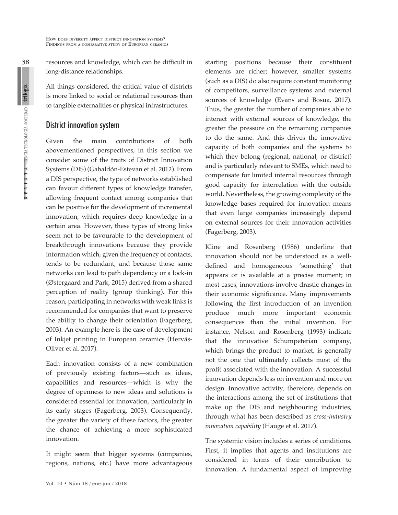$\mathbf{R}$  **E**  $\mathbf{V}$  **I**  $\mathbf{S}$  **T**  $\mathbf{A}$  **CHENCIA TECNOLOGÍA SOCIEDAD trilogía** 

38

resources and knowledge, which can be difficult in long-distance relationships.

All things considered, the critical value of districts is more linked to social or relational resources than to tangible externalities or physical infrastructures.

### District innovation system

Given the main contributions of both abovementioned perspectives, in this section we consider some of the traits of District Innovation Systems (DIS) (Gabaldón-Estevan et al. 2012). From a DIS perspective, the type of networks established can favour different types of knowledge transfer, allowing frequent contact among companies that can be positive for the development of incremental innovation, which requires deep knowledge in a certain area. However, these types of strong links seem not to be favourable to the development of breakthrough innovations because they provide information which, given the frequency of contacts, tends to be redundant, and because those same networks can lead to path dependency or a lock-in (Østergaard and Park, 2015) derived from a shared perception of reality (group thinking). For this reason, participating in networks with weak links is recommended for companies that want to preserve the ability to change their orientation (Fagerberg, 2003). An example here is the case of development of Inkjet printing in European ceramics (Hervás-Oliver et al. 2017).

Each innovation consists of a new combination of previously existing factors—such as ideas, capabilities and resources—which is why the degree of openness to new ideas and solutions is considered essential for innovation, particularly in its early stages (Fagerberg, 2003). Consequently, the greater the variety of these factors, the greater the chance of achieving a more sophisticated innovation.

It might seem that bigger systems (companies, regions, nations, etc.) have more advantageous starting positions because their constituent elements are richer; however, smaller systems (such as a DIS) do also require constant monitoring of competitors, surveillance systems and external sources of knowledge (Evans and Bosua, 2017). Thus, the greater the number of companies able to interact with external sources of knowledge, the greater the pressure on the remaining companies to do the same. And this drives the innovative capacity of both companies and the systems to which they belong (regional, national, or district) and is particularly relevant to SMEs, which need to compensate for limited internal resources through good capacity for interrelation with the outside world. Nevertheless, the growing complexity of the knowledge bases required for innovation means that even large companies increasingly depend on external sources for their innovation activities (Fagerberg, 2003).

Kline and Rosenberg (1986) underline that innovation should not be understood as a welldefined and homogeneous 'something' that appears or is available at a precise moment; in most cases, innovations involve drastic changes in their economic significance. Many improvements following the first introduction of an invention produce much more important economic consequences than the initial invention. For instance, Nelson and Rosenberg (1993) indicate that the innovative Schumpeterian company, which brings the product to market, is generally not the one that ultimately collects most of the profit associated with the innovation. A successful innovation depends less on invention and more on design. Innovative activity, therefore, depends on the interactions among the set of institutions that make up the DIS and neighbouring industries, through what has been described as *cross-industry innovation capability* (Hauge et al. 2017).

The systemic vision includes a series of conditions. First, it implies that agents and institutions are considered in terms of their contribution to innovation. A fundamental aspect of improving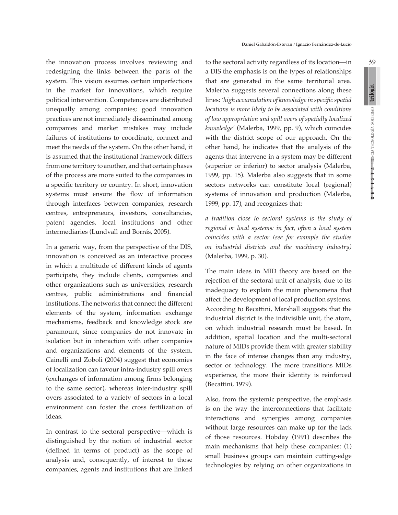the innovation process involves reviewing and redesigning the links between the parts of the system. This vision assumes certain imperfections in the market for innovations, which require political intervention. Competences are distributed unequally among companies; good innovation practices are not immediately disseminated among companies and market mistakes may include failures of institutions to coordinate, connect and meet the needs of the system. On the other hand, it is assumed that the institutional framework differs from one territory to another, and that certain phases of the process are more suited to the companies in a specific territory or country. In short, innovation systems must ensure the flow of information through interfaces between companies, research centres, entrepreneurs, investors, consultancies, patent agencies, local institutions and other intermediaries (Lundvall and Borrás, 2005).

In a generic way, from the perspective of the DIS, innovation is conceived as an interactive process in which a multitude of different kinds of agents participate, they include clients, companies and other organizations such as universities, research centres, public administrations and financial institutions. The networks that connect the different elements of the system, information exchange mechanisms, feedback and knowledge stock are paramount, since companies do not innovate in isolation but in interaction with other companies and organizations and elements of the system. Cainelli and Zoboli (2004) suggest that economies of localization can favour intra-industry spill overs (exchanges of information among firms belonging to the same sector), whereas inter-industry spill overs associated to a variety of sectors in a local environment can foster the cross fertilization of ideas.

In contrast to the sectoral perspective—which is distinguished by the notion of industrial sector (defined in terms of product) as the scope of analysis and, consequently, of interest to those companies, agents and institutions that are linked to the sectoral activity regardless of its location—in a DIS the emphasis is on the types of relationships that are generated in the same territorial area. Malerba suggests several connections along these lines: *'high accumulation of knowledge in specific spatial locations is more likely to be associated with conditions of low appropriation and spill overs of spatially localized knowledge'* (Malerba, 1999, pp. 9), which coincides with the district scope of our approach. On the other hand, he indicates that the analysis of the agents that intervene in a system may be different (superior or inferior) to sector analysis (Malerba, 1999, pp. 15). Malerba also suggests that in some sectors networks can constitute local (regional) systems of innovation and production (Malerba, 1999, pp. 17), and recognizes that:

*a tradition close to sectoral systems is the study of regional or local systems: in fact, often a local system coincides with a sector (see for example the studies on industrial districts and the machinery industry)* (Malerba, 1999, p. 30).

The main ideas in MID theory are based on the rejection of the sectoral unit of analysis, due to its inadequacy to explain the main phenomena that affect the development of local production systems. According to Becattini, Marshall suggests that the industrial district is the indivisible unit, the atom, on which industrial research must be based. In addition, spatial location and the multi-sectoral nature of MIDs provide them with greater stability in the face of intense changes than any industry, sector or technology. The more transitions MIDs experience, the more their identity is reinforced (Becattini, 1979).

Also, from the systemic perspective, the emphasis is on the way the interconnections that facilitate interactions and synergies among companies without large resources can make up for the lack of those resources. Hobday (1991) describes the main mechanisms that help these companies: (1) small business groups can maintain cutting-edge technologies by relying on other organizations in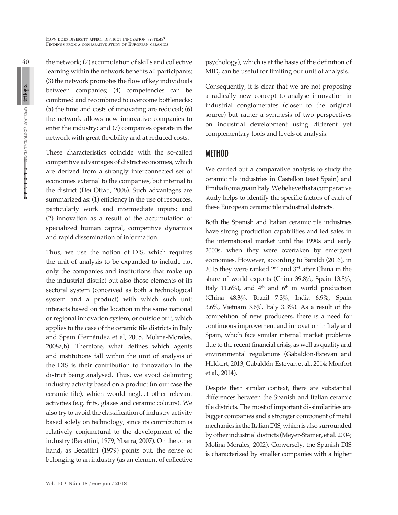the network; (2) accumulation of skills and collective learning within the network benefits all participants; (3) the network promotes the flow of key individuals between companies; (4) competencies can be combined and recombined to overcome bottlenecks; (5) the time and costs of innovating are reduced; (6) the network allows new innovative companies to enter the industry; and (7) companies operate in the network with great flexibility and at reduced costs.

These characteristics coincide with the so-called competitive advantages of district economies, which are derived from a strongly interconnected set of economies external to the companies, but internal to the district (Dei Ottati, 2006). Such advantages are summarized as: (1) efficiency in the use of resources, particularly work and intermediate inputs; and (2) innovation as a result of the accumulation of specialized human capital, competitive dynamics and rapid dissemination of information.

Thus, we use the notion of DIS, which requires the unit of analysis to be expanded to include not only the companies and institutions that make up the industrial district but also those elements of its sectoral system (conceived as both a technological system and a product) with which such unit interacts based on the location in the same national or regional innovation system, or outside of it, which applies to the case of the ceramic tile districts in Italy and Spain (Fernández et al, 2005, Molina-Morales, 2008a,b). Therefore, what defines which agents and institutions fall within the unit of analysis of the DIS is their contribution to innovation in the district being analysed. Thus, we avoid delimiting industry activity based on a product (in our case the ceramic tile), which would neglect other relevant activities (e.g. frits, glazes and ceramic colours). We also try to avoid the classification of industry activity based solely on technology, since its contribution is relatively conjunctural to the development of the industry (Becattini, 1979; Ybarra, 2007). On the other hand, as Becattini (1979) points out, the sense of belonging to an industry (as an element of collective psychology), which is at the basis of the definition of MID, can be useful for limiting our unit of analysis.

Consequently, it is clear that we are not proposing a radically new concept to analyse innovation in industrial conglomerates (closer to the original source) but rather a synthesis of two perspectives on industrial development using different yet complementary tools and levels of analysis.

# METHOD

We carried out a comparative analysis to study the ceramic tile industries in Castellon (east Spain) and Emilia Romagna in Italy. We believe that a comparative study helps to identify the specific factors of each of these European ceramic tile industrial districts.

Both the Spanish and Italian ceramic tile industries have strong production capabilities and led sales in the international market until the 1990s and early 2000s, when they were overtaken by emergent economies. However, according to Baraldi (2016), in 2015 they were ranked  $2<sup>nd</sup>$  and  $3<sup>rd</sup>$  after China in the share of world exports (China 39.8%, Spain 13.8%, Italy 11.6%), and  $4<sup>th</sup>$  and 6<sup>th</sup> in world production (China 48.3%, Brazil 7.3%, India 6.9%, Spain 3.6%, Vietnam 3.6%, Italy 3.3%). As a result of the competition of new producers, there is a need for continuous improvement and innovation in Italy and Spain, which face similar internal market problems due to the recent financial crisis, as well as quality and environmental regulations (Gabaldón-Estevan and Hekkert, 2013; Gabaldón-Estevan et al., 2014; Monfort et al., 2014).

Despite their similar context, there are substantial differences between the Spanish and Italian ceramic tile districts. The most of important dissimilarities are bigger companies and a stronger component of metal mechanics in the Italian DIS, which is also surrounded by other industrial districts (Meyer-Stamer, et al. 2004; Molina-Morales, 2002). Conversely, the Spanish DIS is characterized by smaller companies with a higher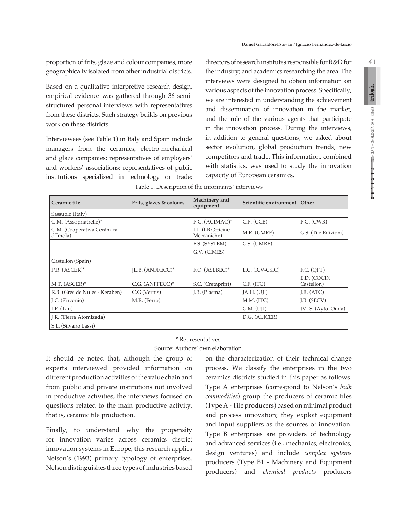proportion of frits, glaze and colour companies, more geographically isolated from other industrial districts.

Based on a qualitative interpretive research design, empirical evidence was gathered through 36 semistructured personal interviews with representatives from these districts. Such strategy builds on previous work on these districts.

Interviewees (see Table 1) in Italy and Spain include managers from the ceramics, electro-mechanical and glaze companies; representatives of employers' and workers' associations; representatives of public institutions specialized in technology or trade; directors of research institutes responsible for R&D for the industry; and academics researching the area. The interviews were designed to obtain information on various aspects of the innovation process. Specifically, we are interested in understanding the achievement and dissemination of innovation in the market, and the role of the various agents that participate in the innovation process. During the interviews, in addition to general questions, we asked about sector evolution, global production trends, new competitors and trade. This information, combined with statistics, was used to study the innovation capacity of European ceramics.

| Ceramic tile                           | Frits, glazes & colours | Machinery and<br>equipment       | Scientific environment   Other |                           |
|----------------------------------------|-------------------------|----------------------------------|--------------------------------|---------------------------|
| Sassuolo (Italy)                       |                         |                                  |                                |                           |
| G.M. (Assopriatrelle)*                 |                         | P.G. (ACIMAC)*                   | C.P. (CCB)                     | P.G. (CWR)                |
| G.M. (Cooperativa Cerámica<br>d'Imola) |                         | I.L. (LB Officine<br>Meccaniche) | M.R. (UMRE)                    | G.S. (Tile Edizioni)      |
|                                        |                         | F.S. (SYSTEM)                    | G.S. (UMRE)                    |                           |
|                                        |                         | G.V. (CIMES)                     |                                |                           |
| Castellon (Spain)                      |                         |                                  |                                |                           |
| P.R. (ASCER)*                          | IL.B. (ANFFECC)*        | F.O. (ASEBEC)*                   | E.C. (ICV-CSIC)                | F.C. (QPT)                |
| M.T. (ASCER)*                          | C.G. (ANFFECC)*         | S.C. (Cretaprint)                | C.F. (ITC)                     | E.D. (COCIN<br>Castellon) |
| R.B. (Gres de Nules - Keraben)         | C.G (Vernis)            | J.R. (Plasma)                    | IA.H. (UII)                    | J.R. $(ATC)$              |
| J.C. (Zirconio)                        | M.R. (Ferro)            |                                  | M.M. (ITC)                     | J.B. (SECV)               |
| J.P. $(Tau)$                           |                         |                                  | G.M. (UII)                     | JM. S. (Ayto. Onda)       |
| J.R. (Tierra Atomizada)                |                         |                                  | D.G. (ALICER)                  |                           |
| S.L. (Silvano Lassi)                   |                         |                                  |                                |                           |

| Table 1. Description of the informants' interviews |  |  |  |
|----------------------------------------------------|--|--|--|
|----------------------------------------------------|--|--|--|

#### \* Representatives. Source: Authors' own elaboration.

It should be noted that, although the group of experts interviewed provided information on different production activities of the value chain and from public and private institutions not involved in productive activities, the interviews focused on questions related to the main productive activity, that is, ceramic tile production.

Finally, to understand why the propensity for innovation varies across ceramics district innovation systems in Europe, this research applies Nelson's (1993) primary typology of enterprises. Nelson distinguishes three types of industries based on the characterization of their technical change process. We classify the enterprises in the two ceramics districts studied in this paper as follows. Type A enterprises (correspond to Nelson's *bulk commodities*) group the producers of ceramic tiles (Type A - Tile producers) based on minimal product and process innovation; they exploit equipment and input suppliers as the sources of innovation. Type B enterprises are providers of technology and advanced services (i.e., mechanics, electronics, design ventures) and include *complex systems* producers (Type B1 - Machinery and Equipment producers) and *chemical products* producers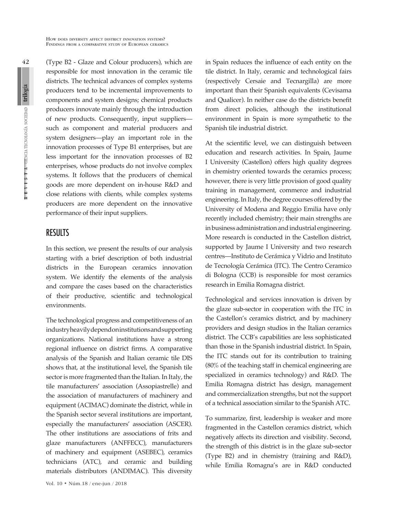(Type B2 - Glaze and Colour producers), which are responsible for most innovation in the ceramic tile districts. The technical advances of complex systems producers tend to be incremental improvements to components and system designs; chemical products producers innovate mainly through the introduction of new products. Consequently, input suppliers such as component and material producers and system designers—play an important role in the innovation processes of Type B1 enterprises, but are less important for the innovation processes of B2 enterprises, whose products do not involve complex systems. It follows that the producers of chemical goods are more dependent on in-house R&D and close relations with clients, while complex systems producers are more dependent on the innovative performance of their input suppliers.

# **RESULTS**

In this section, we present the results of our analysis starting with a brief description of both industrial districts in the European ceramics innovation system. We identify the elements of the analysis and compare the cases based on the characteristics of their productive, scientific and technological environments.

The technological progress and competitiveness of an industry heavily depend on institutions and supporting organizations. National institutions have a strong regional influence on district firms. A comparative analysis of the Spanish and Italian ceramic tile DIS shows that, at the institutional level, the Spanish tile sector is more fragmented than the Italian. In Italy, the tile manufacturers' association (Assopiastrelle) and the association of manufacturers of machinery and equipment (ACIMAC) dominate the district, while in the Spanish sector several institutions are important, especially the manufacturers' association (ASCER). The other institutions are associations of frits and glaze manufacturers (ANFFECC), manufacturers of machinery and equipment (ASEBEC), ceramics technicians (ATC), and ceramic and building materials distributors (ANDIMAC). This diversity in Spain reduces the influence of each entity on the tile district. In Italy, ceramic and technological fairs (respectively Cersaie and Tecnargilla) are more important than their Spanish equivalents (Cevisama and Qualicer). In neither case do the districts benefit from direct policies, although the institutional environment in Spain is more sympathetic to the Spanish tile industrial district.

At the scientific level, we can distinguish between education and research activities. In Spain, Jaume I University (Castellon) offers high quality degrees in chemistry oriented towards the ceramics process; however, there is very little provision of good quality training in management, commerce and industrial engineering. In Italy, the degree courses offered by the University of Modena and Reggio Emilia have only recently included chemistry; their main strengths are in business administration and industrial engineering. More research is conducted in the Castellon district, supported by Jaume I University and two research centres—Instituto de Cerámica y Vidrio and Instituto de Tecnología Cerámica (ITC). The Centro Ceramico di Bologna (CCB) is responsible for most ceramics research in Emilia Romagna district.

Technological and services innovation is driven by the glaze sub-sector in cooperation with the ITC in the Castellon's ceramics district, and by machinery providers and design studios in the Italian ceramics district. The CCB's capabilities are less sophisticated than those in the Spanish industrial district. In Spain, the ITC stands out for its contribution to training (80% of the teaching staff in chemical engineering are specialized in ceramics technology) and R&D. The Emilia Romagna district has design, management and commercialization strengths, but not the support of a technical association similar to the Spanish ATC.

To summarize, first, leadership is weaker and more fragmented in the Castellon ceramics district, which negatively affects its direction and visibility. Second, the strength of this district is in the glaze sub-sector (Type B2) and in chemistry (training and R&D), while Emilia Romagna's are in R&D conducted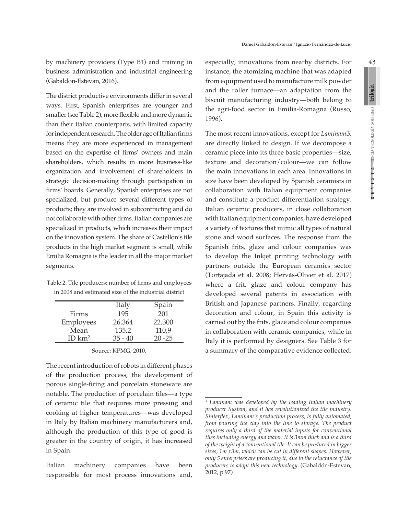by machinery providers (Type B1) and training in business administration and industrial engineering (Gabaldon-Estevan, 2016).

The district productive environments differ in several ways. First, Spanish enterprises are younger and smaller (see Table 2), more flexible and more dynamic than their Italian counterparts, with limited capacity for independent research. The older age of Italian firms means they are more experienced in management based on the expertise of firms' owners and main shareholders, which results in more business-like organization and involvement of shareholders in strategic decision-making through participation in firms' boards. Generally, Spanish enterprises are not specialized, but produce several different types of products; they are involved in subcontracting and do not collaborate with other firms. Italian companies are specialized in products, which increases their impact on the innovation system. The share of Castellon's tile products in the high market segment is small, while Emilia Romagna is the leader in all the major market segments.

Table 2. Tile producers: number of firms and employees in 2008 and estimated size of the industrial district

|                    | Italy     | Spain     |
|--------------------|-----------|-----------|
| Firms              | 195       | 201       |
| Employees          | 26.364    | 22.300    |
| Mean               | 135.2     | 110,9     |
| ID km <sup>2</sup> | $35 - 40$ | $20 - 25$ |

Source: KPMG, 2010.

The recent introduction of robots in different phases of the production process, the development of porous single-firing and porcelain stoneware are notable. The production of porcelain tiles—a type of ceramic tile that requires more pressing and cooking at higher temperatures—was developed in Italy by Italian machinery manufacturers and, although the production of this type of good is greater in the country of origin, it has increased in Spain.

Italian machinery companies have been responsible for most process innovations and, especially, innovations from nearby districts. For instance, the atomizing machine that was adapted from equipment used to manufacture milk powder and the roller furnace—an adaptation from the biscuit manufacturing industry—both belong to the agri-food sector in Emilia-Romagna (Russo, 1996).

The most recent innovations, except for *Laminam*3, are directly linked to design. If we decompose a ceramic piece into its three basic properties—size, texture and decoration/colour—we can follow the main innovations in each area. Innovations in size have been developed by Spanish ceramists in collaboration with Italian equipment companies and constitute a product differentiation strategy. Italian ceramic producers, in close collaboration with Italian equipment companies, have developed a variety of textures that mimic all types of natural stone and wood surfaces. The response from the Spanish frits, glaze and colour companies was to develop the Inkjet printing technology with partners outside the European ceramics sector (Tortajada et al. 2008; Hervás-Oliver et al. 2017) where a frit, glaze and colour company has developed several patents in association with British and Japanese partners. Finally, regarding decoration and colour, in Spain this activity is carried out by the frits, glaze and colour companies in collaboration with ceramic companies, while in Italy it is performed by designers. See Table 3 for a summary of the comparative evidence collected.

<sup>3</sup>  *Laminam was developed by the leading Italian machinery producer System, and it has revolutionized the tile industry. Sinterflex, Laminam's production process, is fully automated, from pouring the clay into the line to storage. The product requires only a third of the material inputs for conventional tiles including energy and water. It is 3mm thick and is a third of the weight of a conventional tile. It can be produced in bigger sizes, 1m x3m, which can be cut in different shapes. However, only 5 enterprises are producing it, due to the reluctance of tile producers to adopt this new technology*. (Gabaldón-Estevan, 2012, p.97)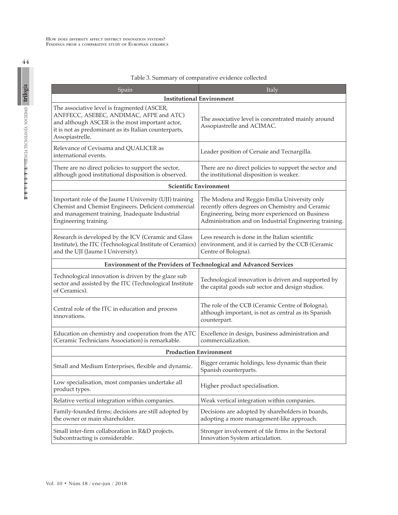| Spain                                                                                                                                                                                                                 | Italy                                                                                                                                                                                                         |  |  |  |
|-----------------------------------------------------------------------------------------------------------------------------------------------------------------------------------------------------------------------|---------------------------------------------------------------------------------------------------------------------------------------------------------------------------------------------------------------|--|--|--|
| <b>Institutional Environment</b>                                                                                                                                                                                      |                                                                                                                                                                                                               |  |  |  |
| The associative level is fragmented (ASCER,<br>ANFFECC, ASEBEC, ANDIMAC, AFPE and ATC)<br>and although ASCER is the most important actor,<br>it is not as predominant as its Italian counterparts,<br>Assopiastrelle. | The associative level is concentrated mainly around<br>Assopiastrelle and ACIMAC.                                                                                                                             |  |  |  |
| Relevance of Cevisama and QUALICER as<br>international events.                                                                                                                                                        | Leader position of Cersaie and Tecnargilla.                                                                                                                                                                   |  |  |  |
| There are no direct policies to support the sector,<br>although good institutional disposition is observed.                                                                                                           | There are no direct policies to support the sector and<br>the institutional disposition is weaker.                                                                                                            |  |  |  |
| <b>Scientific Environment</b>                                                                                                                                                                                         |                                                                                                                                                                                                               |  |  |  |
| Important role of the Jaume I University (UJI) training<br>Chemist and Chemist Engineers. Deficient commercial<br>and management training. Inadequate Industrial<br>Engineering training.                             | The Modena and Reggio Emilia University only<br>recently offers degrees on Chemistry and Ceramic<br>Engineering, being more experienced on Business<br>Administration and on Industrial Engineering training. |  |  |  |
| Research is developed by the ICV (Ceramic and Glass<br>Institute), the ITC (Technological Institute of Ceramics)<br>and the UJI (Jaume I University).                                                                 | Less research is done in the Italian scientific<br>environment, and it is carried by the CCB (Ceramic<br>Centre of Bologna).                                                                                  |  |  |  |
| Environment of the Providers of Technological and Advanced Services                                                                                                                                                   |                                                                                                                                                                                                               |  |  |  |
| Technological innovation is driven by the glaze sub<br>sector and assisted by the ITC (Technological Institute<br>of Ceramics).                                                                                       | Technological innovation is driven and supported by<br>the capital goods sub sector and design studios.                                                                                                       |  |  |  |
| Central role of the ITC in education and process<br>innovations.                                                                                                                                                      | The role of the CCB (Ceramic Centre of Bologna),<br>although important, is not as central as its Spanish<br>counterpart.                                                                                      |  |  |  |
| Education on chemistry and cooperation from the ATC<br>(Ceramic Technicians Association) is remarkable.                                                                                                               | Excellence in design, business administration and<br>commercialization.                                                                                                                                       |  |  |  |
| <b>Production Environment</b>                                                                                                                                                                                         |                                                                                                                                                                                                               |  |  |  |
| Small and Medium Enterprises, flexible and dynamic.                                                                                                                                                                   | Bigger ceramic holdings, less dynamic than their<br>Spanish counterparts.                                                                                                                                     |  |  |  |
| Low specialisation, most companies undertake all<br>product types.                                                                                                                                                    | Higher product specialisation.                                                                                                                                                                                |  |  |  |
| Relative vertical integration within companies.                                                                                                                                                                       | Weak vertical integration within companies.                                                                                                                                                                   |  |  |  |
| Family-founded firms; decisions are still adopted by<br>the owner or main shareholder.                                                                                                                                | Decisions are adopted by shareholders in boards,<br>adopting a more management-like approach.                                                                                                                 |  |  |  |
| Small inter-firm collaboration in R&D projects.<br>Subcontracting is considerable.                                                                                                                                    | Stronger involvement of tile firms in the Sectoral<br>Innovation System articulation.                                                                                                                         |  |  |  |

#### Table 3. Summary of comparative evidence collected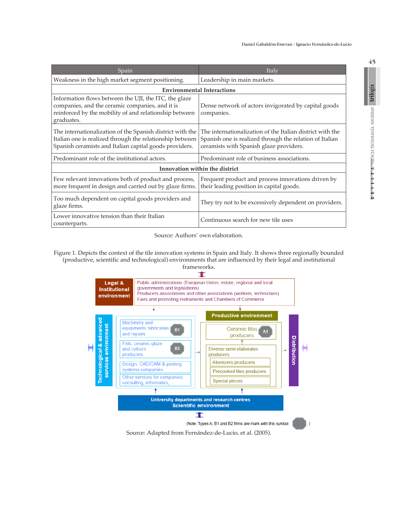| Spain                                                                                                                                                                            | Italy                                                                                                                                                           |  |  |  |
|----------------------------------------------------------------------------------------------------------------------------------------------------------------------------------|-----------------------------------------------------------------------------------------------------------------------------------------------------------------|--|--|--|
| Weakness in the high market segment positioning.                                                                                                                                 | Leadership in main markets.                                                                                                                                     |  |  |  |
| <b>Environmental Interactions</b>                                                                                                                                                |                                                                                                                                                                 |  |  |  |
| Information flows between the UJI, the ITC, the glaze<br>companies, and the ceramic companies, and it is<br>reinforced by the mobility of and relationship between<br>graduates. | Dense network of actors invigorated by capital goods<br>companies.                                                                                              |  |  |  |
| The internationalization of the Spanish district with the<br>Italian one is realized through the relationship between<br>Spanish ceramists and Italian capital goods providers.  | The internationalization of the Italian district with the<br>Spanish one is realized through the relation of Italian<br>ceramists with Spanish glaze providers. |  |  |  |
| Predominant role of the institutional actors.                                                                                                                                    | Predominant role of business associations.                                                                                                                      |  |  |  |
| Innovation within the district                                                                                                                                                   |                                                                                                                                                                 |  |  |  |
| Few relevant innovations both of product and process,<br>more frequent in design and carried out by glaze firms.                                                                 | Frequent product and process innovations driven by<br>their leading position in capital goods.                                                                  |  |  |  |
| Too much dependent on capital goods providers and<br>glaze firms.                                                                                                                | They try not to be excessively dependent on providers.                                                                                                          |  |  |  |
| Lower innovative tension than their Italian<br>counterparts.                                                                                                                     | Continuous search for new tile uses                                                                                                                             |  |  |  |

Source: Authors' own elaboration.

Figure 1. Depicts the context of the tile innovation systems in Spain and Italy. It shows three regionally bounded (productive, scientific and technological) environments that are influenced by their legal and institutional frameworks.



Source: Adapted from Fernández-de-Lucio, et al. (2005).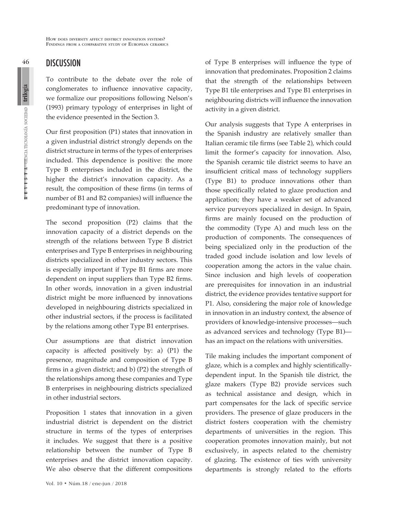How does diversity affect district innovation systems? Findings from <sup>a</sup> comparative study of European ceramics

# **DISCUSSION**

To contribute to the debate over the role of conglomerates to influence innovative capacity, we formalize our propositions following Nelson's (1993) primary typology of enterprises in light of the evidence presented in the Section 3.

Our first proposition (P1) states that innovation in a given industrial district strongly depends on the district structure in terms of the types of enterprises included. This dependence is positive: the more Type B enterprises included in the district, the higher the district's innovation capacity. As a result, the composition of these firms (in terms of number of B1 and B2 companies) will influence the predominant type of innovation.

The second proposition (P2) claims that the innovation capacity of a district depends on the strength of the relations between Type B district enterprises and Type B enterprises in neighbouring districts specialized in other industry sectors. This is especially important if Type B1 firms are more dependent on input suppliers than Type B2 firms. In other words, innovation in a given industrial district might be more influenced by innovations developed in neighbouring districts specialized in other industrial sectors, if the process is facilitated by the relations among other Type B1 enterprises.

Our assumptions are that district innovation capacity is affected positively by: a) (P1) the presence, magnitude and composition of Type B firms in a given district; and b) (P2) the strength of the relationships among these companies and Type B enterprises in neighbouring districts specialized in other industrial sectors.

Proposition 1 states that innovation in a given industrial district is dependent on the district structure in terms of the types of enterprises it includes. We suggest that there is a positive relationship between the number of Type B enterprises and the district innovation capacity. We also observe that the different compositions

Vol. 10 • Núm.18 / ene-jun / 2018

of Type B enterprises will influence the type of innovation that predominates. Proposition 2 claims that the strength of the relationships between Type B1 tile enterprises and Type B1 enterprises in neighbouring districts will influence the innovation activity in a given district.

Our analysis suggests that Type A enterprises in the Spanish industry are relatively smaller than Italian ceramic tile firms (see Table 2), which could limit the former's capacity for innovation. Also, the Spanish ceramic tile district seems to have an insufficient critical mass of technology suppliers (Type B1) to produce innovations other than those specifically related to glaze production and application; they have a weaker set of advanced service purveyors specialized in design. In Spain, firms are mainly focused on the production of the commodity (Type A) and much less on the production of components. The consequences of being specialized only in the production of the traded good include isolation and low levels of cooperation among the actors in the value chain. Since inclusion and high levels of cooperation are prerequisites for innovation in an industrial district, the evidence provides tentative support for P1. Also, considering the major role of knowledge in innovation in an industry context, the absence of providers of knowledge-intensive processes—such as advanced services and technology (Type B1) has an impact on the relations with universities.

Tile making includes the important component of glaze, which is a complex and highly scientificallydependent input. In the Spanish tile district, the glaze makers (Type B2) provide services such as technical assistance and design, which in part compensates for the lack of specific service providers. The presence of glaze producers in the district fosters cooperation with the chemistry departments of universities in the region. This cooperation promotes innovation mainly, but not exclusively, in aspects related to the chemistry of glazing. The existence of ties with university departments is strongly related to the efforts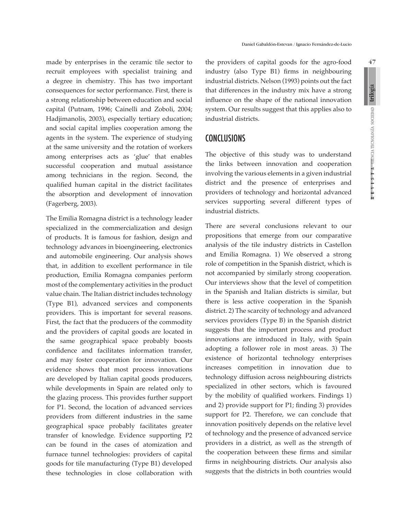made by enterprises in the ceramic tile sector to recruit employees with specialist training and a degree in chemistry. This has two important consequences for sector performance. First, there is a strong relationship between education and social capital (Putnam, 1996; Cainelli and Zoboli, 2004; Hadjimanolis, 2003), especially tertiary education; and social capital implies cooperation among the agents in the system. The experience of studying at the same university and the rotation of workers among enterprises acts as 'glue' that enables successful cooperation and mutual assistance among technicians in the region. Second, the qualified human capital in the district facilitates the absorption and development of innovation (Fagerberg, 2003).

The Emilia Romagna district is a technology leader specialized in the commercialization and design of products. It is famous for fashion, design and technology advances in bioengineering, electronics and automobile engineering. Our analysis shows that, in addition to excellent performance in tile production, Emilia Romagna companies perform most of the complementary activities in the product value chain. The Italian district includes technology (Type B1), advanced services and components providers. This is important for several reasons. First, the fact that the producers of the commodity and the providers of capital goods are located in the same geographical space probably boosts confidence and facilitates information transfer, and may foster cooperation for innovation. Our evidence shows that most process innovations are developed by Italian capital goods producers, while developments in Spain are related only to the glazing process. This provides further support for P1. Second, the location of advanced services providers from different industries in the same geographical space probably facilitates greater transfer of knowledge. Evidence supporting P2 can be found in the cases of atomization and furnace tunnel technologies: providers of capital goods for tile manufacturing (Type B1) developed these technologies in close collaboration with the providers of capital goods for the agro-food industry (also Type B1) firms in neighbouring industrial districts. Nelson (1993) points out the fact that differences in the industry mix have a strong influence on the shape of the national innovation system. Our results suggest that this applies also to industrial districts.

# CONCLUSIONS

The objective of this study was to understand the links between innovation and cooperation involving the various elements in a given industrial district and the presence of enterprises and providers of technology and horizontal advanced services supporting several different types of industrial districts.

There are several conclusions relevant to our propositions that emerge from our comparative analysis of the tile industry districts in Castellon and Emilia Romagna. 1) We observed a strong role of competition in the Spanish district, which is not accompanied by similarly strong cooperation. Our interviews show that the level of competition in the Spanish and Italian districts is similar, but there is less active cooperation in the Spanish district. 2) The scarcity of technology and advanced services providers (Type B) in the Spanish district suggests that the important process and product innovations are introduced in Italy, with Spain adopting a follower role in most areas. 3) The existence of horizontal technology enterprises increases competition in innovation due to technology diffusion across neighbouring districts specialized in other sectors, which is favoured by the mobility of qualified workers. Findings 1) and 2) provide support for P1; finding 3) provides support for P2. Therefore, we can conclude that innovation positively depends on the relative level of technology and the presence of advanced service providers in a district, as well as the strength of the cooperation between these firms and similar firms in neighbouring districts. Our analysis also suggests that the districts in both countries would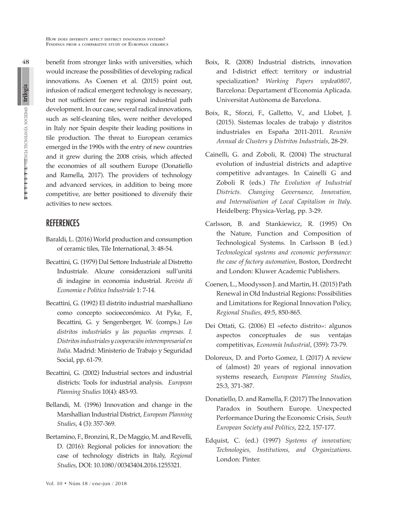benefit from stronger links with universities, which would increase the possibilities of developing radical innovations. As Coenen et al. (2015) point out, infusion of radical emergent technology is necessary, but not sufficient for new regional industrial path development. In our case, several radical innovations, such as self-cleaning tiles, were neither developed in Italy nor Spain despite their leading positions in tile production. The threat to European ceramics emerged in the 1990s with the entry of new countries and it grew during the 2008 crisis, which affected the economies of all southern Europe (Donatiello and Ramella, 2017). The providers of technology and advanced services, in addition to being more competitive, are better positioned to diversify their activities to new sectors.

# **REFERENCES**

- Baraldi, L. (2016) World production and consumption of ceramic tiles, Tile International, 3: 48-54.
- Becattini, G. (1979) Dal Settore Industriale al Distretto Industriale. Alcune considerazioni sull'unitá di indagine in economia industrial. *Revista di Economia e Politica Industriale* 1: 7-14.
- Becattini, G. (1992) El distrito industrial marshalliano como concepto socioeconómico. At Pyke, F., Becattini, G. y Sengenberger, W. (comps.) *Los distritos industriales y las pequeñas empresas. I. Distritos industriales y cooperación interempresarial en Italia*. Madrid: Ministerio de Trabajo y Seguridad Social, pp. 61-79.
- Becattini, G. (2002) Industrial sectors and industrial districts: Tools for industrial analysis. *European Planning Studies* 10(4): 483-93.
- Bellandi, M. (1996) Innovation and change in the Marshallian Industrial District, *European Planning Studies*, 4 (3): 357-369.
- Bertamino, F., Bronzini, R., De Maggio, M. and Revelli, D. (2016): Regional policies for innovation: the case of technology districts in Italy, *Regional Studies*, DOI: 10.1080/00343404.2016.1255321.
- Vol. 10 Núm.18 / ene-jun / 2018
- Boix, R. (2008) Industrial districts, innovation and I-district effect: territory or industrial specialization? *Working Papers wpdea0807*, Barcelona: Departament d'Economia Aplicada. Universitat Autònoma de Barcelona.
- Boix, R., Sforzi, F., Galletto, V., and Llobet, J. (2015). Sistemas locales de trabajo y distritos industriales en España 2011-2011. *Reunión Annual de Clusters y Distritos Industrials*, 28-29.
- Cainelli, G. and Zoboli, R. (2004) The structural evolution of industrial districts and adaptive competitive advantages. In Cainelli G and Zoboli R (eds.) *The Evolution of Industrial Districts. Changing Governance, Innovation, and Internalisation of Local Capitalism in Italy*. Heidelberg: Physica-Verlag, pp. 3-29.
- Carlsson, B. and Stankiewicz, R. (1995) On the Nature, Function and Composition of Technological Systems. In Carlsson B (ed.) T*echnological systems and economic performance: the case of factory automation*, Boston, Dordrecht and London: Kluwer Academic Publishers.
- Coenen, L., Moodysson J. and Martin, H. (2015) Path Renewal in Old Industrial Regions: Possibilities and Limitations for Regional Innovation Policy, *Regional Studies*, 49:5, 850-865.
- Dei Ottati, G. (2006) El «efecto distrito»: algunos aspectos conceptuales de sus ventajas competitivas, *Economía Industrial*, (359): 73-79.
- Doloreux, D. and Porto Gomez, I. (2017) A review of (almost) 20 years of regional innovation systems research, *European Planning Studies*, 25:3, 371-387.
- Donatiello, D. and Ramella, F. (2017) The Innovation Paradox in Southern Europe. Unexpected Performance During the Economic Crisis, *South European Society and Politics*, 22:2, 157-177.
- Edquist, C. (ed.) (1997) *Systems of innovation; Technologies, Institutions, and Organizations*. London: Pinter.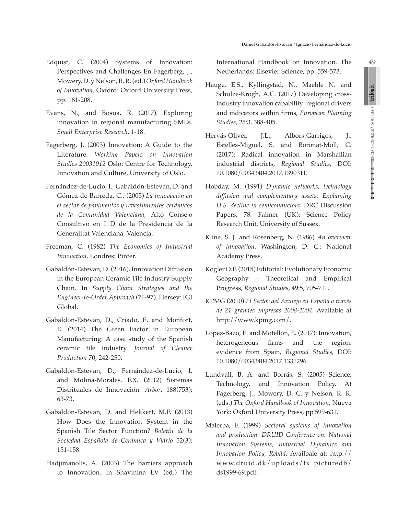Edquist, C. (2004) Systems of Innovation: Perspectives and Challenges En Fagerberg, J., Mowery, D. y Nelson, R. R. (ed.) *Oxford Handbook of Innovation*, Oxford: Oxford University Press, pp. 181-208.

- Evans, N., and Bosua, R. (2017). Exploring innovation in regional manufacturing SMEs. *Small Enterprise Research*, 1-18.
- Fagerberg, J. (2003) Innovation: A Guide to the Literature. *Working Papers on Innovation Studies 20031012* Oslo: Centre for Technology, Innovation and Culture, University of Oslo.
- Fernández-de-Lucio, I., Gabaldón-Estevan, D. and Gómez-de-Barreda, C., (2005) *La innovación en el sector de pavimentos y revestimientos cerámicos de la Comunidad Valenciana*, Alto Consejo Consultivo en I+D de la Presidencia de la Generalitat Valenciana. Valencia.
- Freeman, C. (1982) *The Economics of Industrial Innovation*, Londres: Pinter.
- Gabaldón-Estevan, D. (2016). Innovation Diffusion in the European Ceramic Tile Industry Supply Chain. In *Supply Chain Strategies and the Engineer-to-Order Approach* (76-97). Hersey: IGI Global.
- Gabaldón-Estevan, D., Criado, E. and Monfort, E. (2014) The Green Factor in European Manufacturing: A case study of the Spanish ceramic tile industry. *Journal of Cleaner Production* 70, 242-250.
- Gabaldón-Estevan, D., Fernández-de-Lucio, I. and Molina-Morales. F.X. (2012) Sistemas Distrituales de Innovación. *Arbor*, 188(753): 63-73.
- Gabaldón-Estevan, D. and Hekkert, M.P. (2013) How Does the Innovation System in the Spanish Tile Sector Function? *Boletín de la Sociedad Española de Cerámica y Vidrio* 52(3): 151-158.
- Hadjimanolis, A. (2003) The Barriers approach to Innovation. In Shavinina LV (ed.) The

International Handbook on Innovation. The Netherlands: Elsevier Science, pp. 559-573.

- Hauge, E.S., Kyllingstad, N., Maehle N. and Schulze-Krogh, A.C. (2017) Developing crossindustry innovation capability: regional drivers and indicators within firms, *European Planning Studies*, 25:3, 388-405.
- Hervás-Oliver, J.L., Albors-Garrigos, J., Estelles-Miguel, S. and Boronat-Moll, C. (2017): Radical innovation in Marshallian industrial districts, *Regional Studies*, DOI: 10.1080/00343404.2017.1390311.
- Hobday, M. (1991) *Dynamic networks, technology diffusion and complementary assets: Explaining U.S. decline in semiconductors*. DRC Discussion Papers, 78. Falmer (UK): Science Policy Research Unit, University of Sussex.
- Kline, S. J. and Rosenberg, N. (1986) *An overview of innovation*. Washington, D. C.: National Academy Press.
- Kogler D.F. (2015) Editorial: Evolutionary Economic Geography – Theoretical and Empirical Progress, *Regional Studies*, 49:5, 705-711.
- KPMG (2010) *El Sector del Azulejo en España a través de 21 grandes empresas 2008-2004*. Available at http://www.kpmg.com/.
- López-Bazo, E. and Motellón, E. (2017): Innovation, heterogeneous firms and the region: evidence from Spain, *Regional Studies*, DOI: 10.1080/00343404.2017.1331296.
- Lundvall, B. A. and Borrás, S. (2005) Science, Technology, and Innovation Policy. At Fagerberg, J., Mowery, D. C. y Nelson, R. R. (eds.) *The Oxford Handbook of Innovation*, Nueva York: Oxford University Press, pp 599-631.
- Malerba, F. (1999) *Sectoral systems of innovation and production. DRUID Conference on: National Innovation Systems, Industrial Dynamics and Innovation Policy, Rebild*. Availbale at: http:// www.druid.dk/uploads/tx\_picturedb/ ds1999-69.pdf.